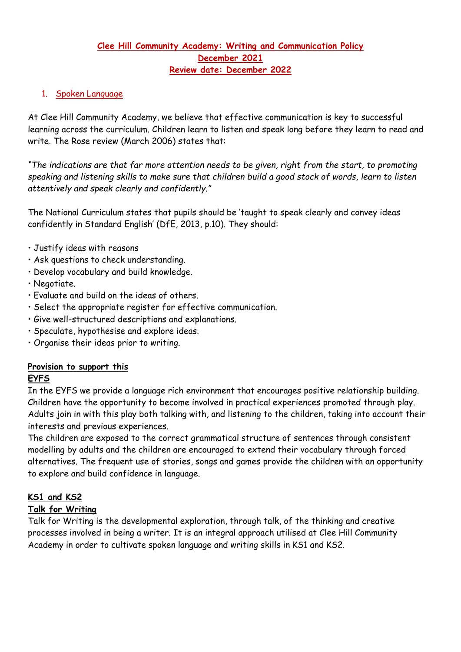# **Clee Hill Community Academy: Writing and Communication Policy December 2021 Review date: December 2022**

# 1. Spoken Language

At Clee Hill Community Academy, we believe that effective communication is key to successful learning across the curriculum. Children learn to listen and speak long before they learn to read and write. The Rose review (March 2006) states that:

*"The indications are that far more attention needs to be given, right from the start, to promoting speaking and listening skills to make sure that children build a good stock of words, learn to listen attentively and speak clearly and confidently."*

The National Curriculum states that pupils should be 'taught to speak clearly and convey ideas confidently in Standard English' (DfE, 2013, p.10). They should:

- Justify ideas with reasons
- Ask questions to check understanding.
- Develop vocabulary and build knowledge.
- Negotiate.
- Evaluate and build on the ideas of others.
- Select the appropriate register for effective communication.
- Give well-structured descriptions and explanations.
- Speculate, hypothesise and explore ideas.
- Organise their ideas prior to writing.

# **Provision to support this**

# **EYFS**

In the EYFS we provide a language rich environment that encourages positive relationship building. Children have the opportunity to become involved in practical experiences promoted through play. Adults join in with this play both talking with, and listening to the children, taking into account their interests and previous experiences.

The children are exposed to the correct grammatical structure of sentences through consistent modelling by adults and the children are encouraged to extend their vocabulary through forced alternatives. The frequent use of stories, songs and games provide the children with an opportunity to explore and build confidence in language.

# **KS1 and KS2**

# **Talk for Writing**

Talk for Writing is the developmental exploration, through talk, of the thinking and creative processes involved in being a writer. It is an integral approach utilised at Clee Hill Community Academy in order to cultivate spoken language and writing skills in KS1 and KS2.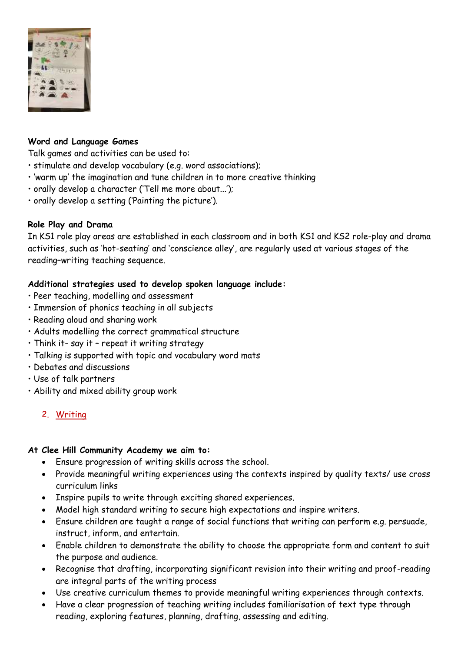

# **Word and Language Games**

Talk games and activities can be used to:

- stimulate and develop vocabulary (e.g. word associations);
- 'warm up' the imagination and tune children in to more creative thinking
- orally develop a character ('Tell me more about...');
- orally develop a setting ('Painting the picture').

# **Role Play and Drama**

In KS1 role play areas are established in each classroom and in both KS1 and KS2 role-play and drama activities, such as 'hot-seating' and 'conscience alley', are regularly used at various stages of the reading–writing teaching sequence.

# **Additional strategies used to develop spoken language include:**

- Peer teaching, modelling and assessment
- Immersion of phonics teaching in all subjects
- Reading aloud and sharing work
- Adults modelling the correct grammatical structure
- Think it- say it repeat it writing strategy
- Talking is supported with topic and vocabulary word mats
- Debates and discussions
- Use of talk partners
- Ability and mixed ability group work

# 2. Writing

# **At Clee Hill Community Academy we aim to:**

- Ensure progression of writing skills across the school.
- Provide meaningful writing experiences using the contexts inspired by quality texts/ use cross curriculum links
- Inspire pupils to write through exciting shared experiences.
- Model high standard writing to secure high expectations and inspire writers.
- Ensure children are taught a range of social functions that writing can perform e.g. persuade, instruct, inform, and entertain.
- Enable children to demonstrate the ability to choose the appropriate form and content to suit the purpose and audience.
- Recognise that drafting, incorporating significant revision into their writing and proof-reading are integral parts of the writing process
- Use creative curriculum themes to provide meaningful writing experiences through contexts.
- Have a clear progression of teaching writing includes familiarisation of text type through reading, exploring features, planning, drafting, assessing and editing.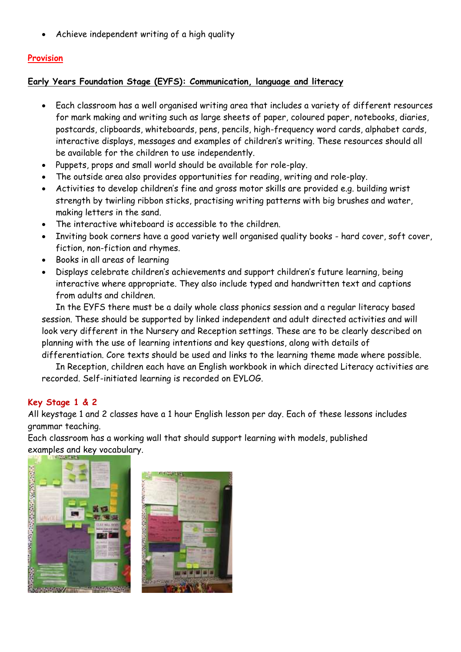• Achieve independent writing of a high quality

# **Provision**

## **Early Years Foundation Stage (EYFS): Communication, language and literacy**

- Each classroom has a well organised writing area that includes a variety of different resources for mark making and writing such as large sheets of paper, coloured paper, notebooks, diaries, postcards, clipboards, whiteboards, pens, pencils, high-frequency word cards, alphabet cards, interactive displays, messages and examples of children's writing. These resources should all be available for the children to use independently.
- Puppets, props and small world should be available for role-play.
- The outside area also provides opportunities for reading, writing and role-play.
- Activities to develop children's fine and gross motor skills are provided e.g. building wrist strength by twirling ribbon sticks, practising writing patterns with big brushes and water, making letters in the sand.
- The interactive whiteboard is accessible to the children.
- Inviting book corners have a good variety well organised quality books hard cover, soft cover, fiction, non-fiction and rhymes.
- Books in all areas of learning
- Displays celebrate children's achievements and support children's future learning, being interactive where appropriate. They also include typed and handwritten text and captions from adults and children.

In the EYFS there must be a daily whole class phonics session and a regular literacy based session. These should be supported by linked independent and adult directed activities and will look very different in the Nursery and Reception settings. These are to be clearly described on planning with the use of learning intentions and key questions, along with details of

differentiation. Core texts should be used and links to the learning theme made where possible. In Reception, children each have an English workbook in which directed Literacy activities are recorded. Self-initiated learning is recorded on EYLOG.

# **Key Stage 1 & 2**

All keystage 1 and 2 classes have a 1 hour English lesson per day. Each of these lessons includes grammar teaching.

Each classroom has a working wall that should support learning with models, published examples and key vocabulary.

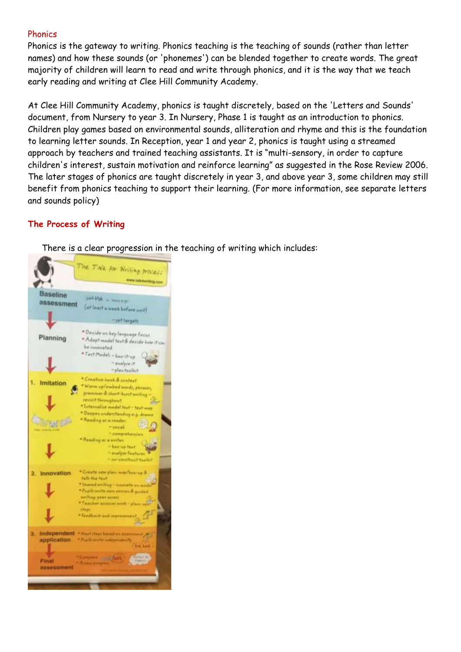#### **Phonics**

Phonics is the gateway to writing. Phonics teaching is the teaching of sounds (rather than letter names) and how these sounds (or 'phonemes') can be blended together to create words. The great majority of children will learn to read and write through phonics, and it is the way that we teach early reading and writing at Clee Hill Community Academy.

At Clee Hill Community Academy, phonics is taught discretely, based on the 'Letters and Sounds' document, from Nursery to year 3. In Nursery, Phase 1 is taught as an introduction to phonics. Children play games based on environmental sounds, alliteration and rhyme and this is the foundation to learning letter sounds. In Reception, year 1 and year 2, phonics is taught using a streamed approach by teachers and trained teaching assistants. It is "multi-sensory, in order to capture children's interest, sustain motivation and reinforce learning" as suggested in the Rose Review 2006. The later stages of phonics are taught discretely in year 3, and above year 3, some children may still benefit from phonics teaching to support their learning. (For more information, see separate letters and sounds policy)

# **The Process of Writing**

There is a clear progression in the teaching of writing which includes:

|                                                    | The Tink for Writing Process                                                                                                                                                                                                             |
|----------------------------------------------------|------------------------------------------------------------------------------------------------------------------------------------------------------------------------------------------------------------------------------------------|
|                                                    | worse talk forming, com                                                                                                                                                                                                                  |
| Baseline<br>assessment                             | and Mit. - ween or<br>(ut least a week before unit)<br>- ret furgets                                                                                                                                                                     |
| Planning                                           | * Decide on hey language facus<br>* Adapt madel tost & decide how it can<br>he innevated<br>* Tost Model - box-it-up<br>- analyze it<br>- plan foolkit                                                                                   |
| 1. Imitation                                       | * Creative heak & context<br>* Warm up/ambed mords, phrases.<br>grammar & short-burt writing -<br>restitif throughout<br>* Internative model text - first map<br>* Deepen understanding e.g. drame<br>* Reading at a reader:<br>- vecali |
|                                                    | * damprékes<br>· Heading at a writer:<br>- kasnie fest<br>- analyse features<br>" candentfroot foolkit                                                                                                                                   |
| Innovation                                         | * Greate new plan: map/box-up &<br>fully that first<br>* Shared writing - innocate a<br>. Papili write aim certins & paided<br>amiting peer acted!<br>* Teacher atteries week > plac<br><b>Iffeger</b><br>· Fredhach and is              |
| Independent<br>application<br>Frinal<br>assessment | · Near there have fine a<br>* Pupils write independent!<br>Fedral III.<br><b>AMPAIR</b>                                                                                                                                                  |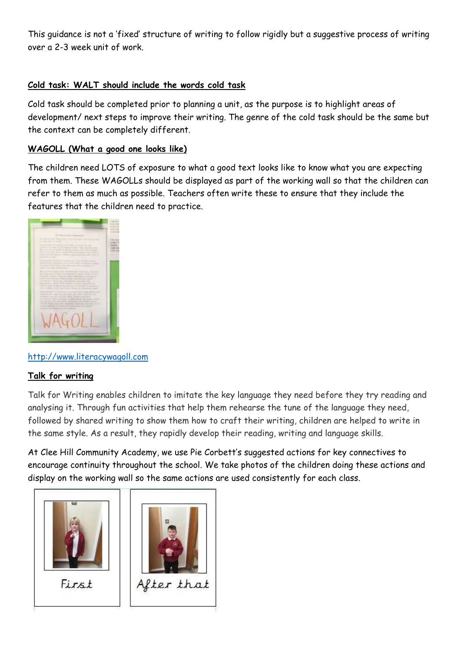This guidance is not a 'fixed' structure of writing to follow rigidly but a suggestive process of writing over a 2-3 week unit of work.

# **Cold task: WALT should include the words cold task**

Cold task should be completed prior to planning a unit, as the purpose is to highlight areas of development/ next steps to improve their writing. The genre of the cold task should be the same but the context can be completely different.

### **WAGOLL (What a good one looks like)**

The children need LOTS of exposure to what a good text looks like to know what you are expecting from them. These WAGOLLs should be displayed as part of the working wall so that the children can refer to them as much as possible. Teachers often write these to ensure that they include the features that the children need to practice.



#### [http://www.literacywagoll.com](http://www.literacywagoll.com/)

#### **Talk for writing**

Talk for Writing enables children to imitate the key language they need before they try reading and analysing it. Through fun activities that help them rehearse the tune of the language they need, followed by shared writing to show them how to craft their writing, children are helped to write in the same style. As a result, they rapidly develop their reading, writing and language skills.

At Clee Hill Community Academy, we use Pie Corbett's suggested actions for key connectives to encourage continuity throughout the school. We take photos of the children doing these actions and display on the working wall so the same actions are used consistently for each class.



First

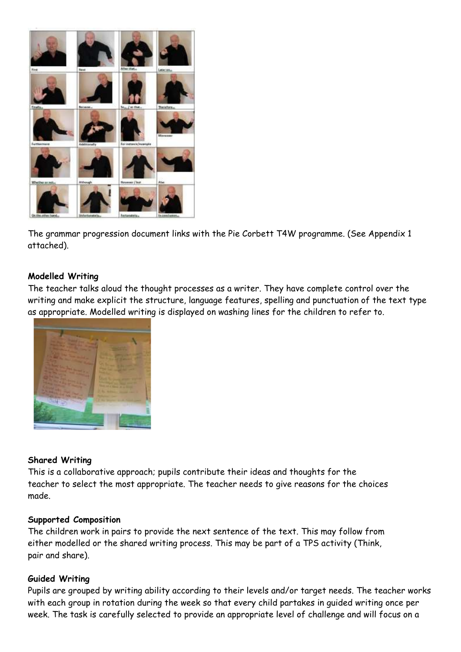

The grammar progression document links with the Pie Corbett T4W programme. (See Appendix 1 attached).

#### **Modelled Writing**

The teacher talks aloud the thought processes as a writer. They have complete control over the writing and make explicit the structure, language features, spelling and punctuation of the text type as appropriate. Modelled writing is displayed on washing lines for the children to refer to.



#### **Shared Writing**

This is a collaborative approach; pupils contribute their ideas and thoughts for the teacher to select the most appropriate. The teacher needs to give reasons for the choices made.

#### **Supported Composition**

The children work in pairs to provide the next sentence of the text. This may follow from either modelled or the shared writing process. This may be part of a TPS activity (Think, pair and share).

#### **Guided Writing**

Pupils are grouped by writing ability according to their levels and/or target needs. The teacher works with each group in rotation during the week so that every child partakes in guided writing once per week. The task is carefully selected to provide an appropriate level of challenge and will focus on a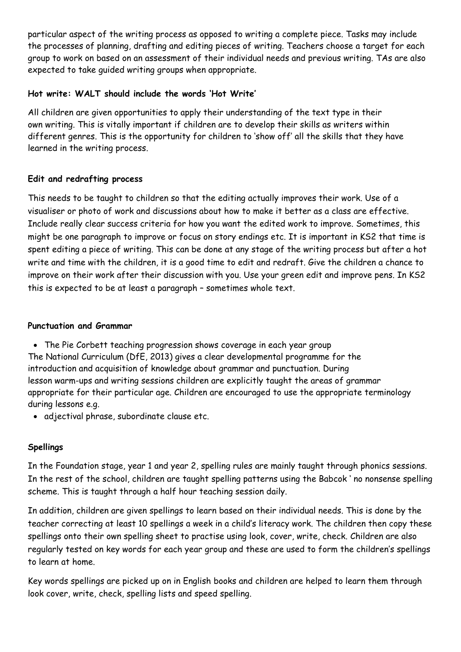particular aspect of the writing process as opposed to writing a complete piece. Tasks may include the processes of planning, drafting and editing pieces of writing. Teachers choose a target for each group to work on based on an assessment of their individual needs and previous writing. TAs are also expected to take guided writing groups when appropriate.

## **Hot write: WALT should include the words 'Hot Write'**

All children are given opportunities to apply their understanding of the text type in their own writing. This is vitally important if children are to develop their skills as writers within different genres. This is the opportunity for children to 'show off' all the skills that they have learned in the writing process.

# **Edit and redrafting process**

This needs to be taught to children so that the editing actually improves their work. Use of a visualiser or photo of work and discussions about how to make it better as a class are effective. Include really clear success criteria for how you want the edited work to improve. Sometimes, this might be one paragraph to improve or focus on story endings etc. It is important in KS2 that time is spent editing a piece of writing. This can be done at any stage of the writing process but after a hot write and time with the children, it is a good time to edit and redraft. Give the children a chance to improve on their work after their discussion with you. Use your green edit and improve pens. In KS2 this is expected to be at least a paragraph – sometimes whole text.

#### **Punctuation and Grammar**

• The Pie Corbett teaching progression shows coverage in each year group

The National Curriculum (DfE, 2013) gives a clear developmental programme for the introduction and acquisition of knowledge about grammar and punctuation. During lesson warm-ups and writing sessions children are explicitly taught the areas of grammar appropriate for their particular age. Children are encouraged to use the appropriate terminology during lessons e.g.

• adjectival phrase, subordinate clause etc.

# **Spellings**

In the Foundation stage, year 1 and year 2, spelling rules are mainly taught through phonics sessions. In the rest of the school, children are taught spelling patterns using the Babcok ' no nonsense spelling scheme. This is taught through a half hour teaching session daily.

In addition, children are given spellings to learn based on their individual needs. This is done by the teacher correcting at least 10 spellings a week in a child's literacy work. The children then copy these spellings onto their own spelling sheet to practise using look, cover, write, check. Children are also regularly tested on key words for each year group and these are used to form the children's spellings to learn at home.

Key words spellings are picked up on in English books and children are helped to learn them through look cover, write, check, spelling lists and speed spelling.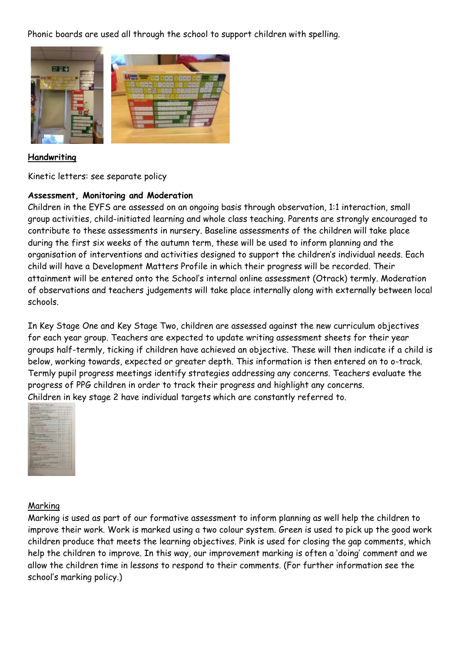Phonic boards are used all through the school to support children with spelling.



#### **Handwriting**

Kinetic letters: see separate policy

#### **Assessment, Monitoring and Moderation**

Children in the EYFS are assessed on an ongoing basis through observation, 1:1 interaction, small group activities, child-initiated learning and whole class teaching. Parents are strongly encouraged to contribute to these assessments in nursery. Baseline assessments of the children will take place during the first six weeks of the autumn term, these will be used to inform planning and the organisation of interventions and activities designed to support the children's individual needs. Each child will have a Development Matters Profile in which their progress will be recorded. Their attainment will be entered onto the School's internal online assessment (Otrack) termly. Moderation of observations and teachers judgements will take place internally along with externally between local schools.

In Key Stage One and Key Stage Two, children are assessed against the new curriculum objectives for each year group. Teachers are expected to update writing assessment sheets for their year groups half-termly, ticking if children have achieved an objective. These will then indicate if a child is below, working towards, expected or greater depth. This information is then entered on to o-track. Termly pupil progress meetings identify strategies addressing any concerns. Teachers evaluate the progress of PPG children in order to track their progress and highlight any concerns. Children in key stage 2 have individual targets which are constantly referred to.



#### Marking

Marking is used as part of our formative assessment to inform planning as well help the children to improve their work. Work is marked using a two colour system. Green is used to pick up the good work children produce that meets the learning objectives. Pink is used for closing the gap comments, which help the children to improve. In this way, our improvement marking is often a 'doing' comment and we allow the children time in lessons to respond to their comments. (For further information see the school's marking policy.)